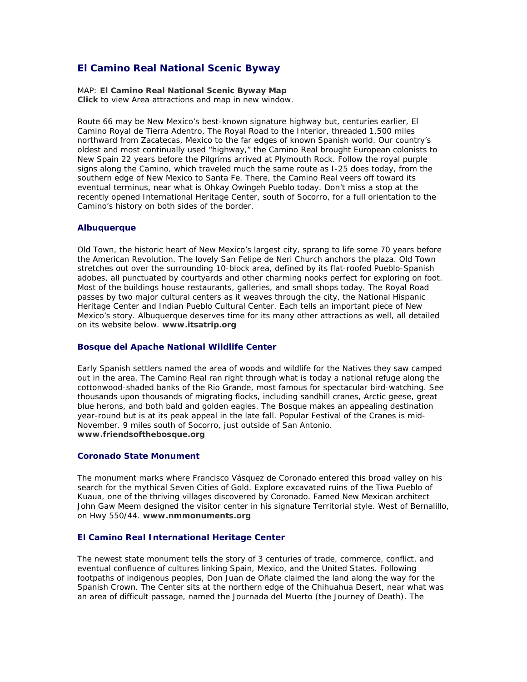# **El Camino Real National Scenic Byway**

MAP: **[El Camino Real National Scenic Byway Map](http://www.newmexico.org/scenicbyways/docs/1310-El%20Camino%20Real_map.pdf)** *[Click](http://www.newmexico.org/scenicbyways/el_camino_real.php##) to view Area attractions and map in new window.*

Route 66 may be New Mexico's best-known signature highway but, centuries earlier, El Camino Royal de Tierra Adentro, The Royal Road to the Interior, threaded 1,500 miles northward from Zacatecas, Mexico to the far edges of known Spanish world. Our country's oldest and most continually used "highway," the Camino Real brought European colonists to New Spain 22 years before the Pilgrims arrived at Plymouth Rock. Follow the royal purple signs along the Camino, which traveled much the same route as I-25 does today, from the southern edge of New Mexico to Santa Fe. There, the Camino Real veers off toward its eventual terminus, near what is Ohkay Owingeh Pueblo today. Don't miss a stop at the recently opened International Heritage Center, south of Socorro, for a full orientation to the Camino's history on both sides of the border.

## **Albuquerque**

Old Town, the historic heart of New Mexico's largest city, sprang to life some 70 years before the American Revolution. The lovely San Felipe de Neri Church anchors the plaza. Old Town stretches out over the surrounding 10-block area, defined by its flat-roofed Pueblo-Spanish adobes, all punctuated by courtyards and other charming nooks perfect for exploring on foot. Most of the buildings house restaurants, galleries, and small shops today. The Royal Road passes by two major cultural centers as it weaves through the city, the National Hispanic Heritage Center and Indian Pueblo Cultural Center. Each tells an important piece of New Mexico's story. Albuquerque deserves time for its many other attractions as well, all detailed on its website below. **[www.itsatrip.org](http://www.itsatrip.org/)**

## **Bosque del Apache National Wildlife Center**

Early Spanish settlers named the area of woods and wildlife for the Natives they saw camped out in the area. The Camino Real ran right through what is today a national refuge along the cottonwood-shaded banks of the Rio Grande, most famous for spectacular bird-watching. See thousands upon thousands of migrating flocks, including sandhill cranes, Arctic geese, great blue herons, and both bald and golden eagles. The Bosque makes an appealing destination year-round but is at its peak appeal in the late fall. Popular Festival of the Cranes is mid-November. 9 miles south of Socorro, just outside of San Antonio. **[www.friendsofthebosque.org](http://www.friendsofthebosque.org/)** 

#### **Coronado State Monument**

The monument marks where Francisco Vásquez de Coronado entered this broad valley on his search for the mythical Seven Cities of Gold. Explore excavated ruins of the Tiwa Pueblo of Kuaua, one of the thriving villages discovered by Coronado. Famed New Mexican architect John Gaw Meem designed the visitor center in his signature Territorial style. West of Bernalillo, on Hwy 550/44. **[www.nmmonuments.org](http://www.nmmonuments.org/)** 

### **El Camino Real International Heritage Center**

The newest state monument tells the story of 3 centuries of trade, commerce, conflict, and eventual confluence of cultures linking Spain, Mexico, and the United States. Following footpaths of indigenous peoples, Don Juan de Oñate claimed the land along the way for the Spanish Crown. The Center sits at the northern edge of the Chihuahua Desert, near what was an area of difficult passage, named the Journada del Muerto (the Journey of Death). The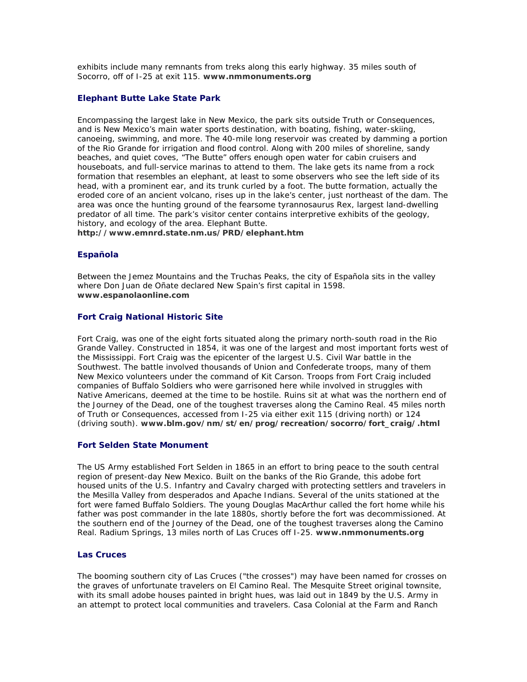exhibits include many remnants from treks along this early highway. 35 miles south of Socorro, off of I-25 at exit 115. **[www.nmmonuments.org](http://www.nmmonuments.org/)**

## **Elephant Butte Lake State Park**

Encompassing the largest lake in New Mexico, the park sits outside Truth or Consequences, and is New Mexico's main water sports destination, with boating, fishing, water-skiing, canoeing, swimming, and more. The 40-mile long reservoir was created by damming a portion of the Rio Grande for irrigation and flood control. Along with 200 miles of shoreline, sandy beaches, and quiet coves, "The Butte" offers enough open water for cabin cruisers and houseboats, and full-service marinas to attend to them. The lake gets its name from a rock formation that resembles an elephant, at least to some observers who see the left side of its head, with a prominent ear, and its trunk curled by a foot. The butte formation, actually the eroded core of an ancient volcano, rises up in the lake's center, just northeast of the dam. The area was once the hunting ground of the fearsome tyrannosaurus Rex, largest land-dwelling predator of all time. The park's visitor center contains interpretive exhibits of the geology, history, and ecology of the area. Elephant Butte.

**<http://www.emnrd.state.nm.us/PRD/elephant.htm>**

## **Española**

Between the Jemez Mountains and the Truchas Peaks, the city of Española sits in the valley where Don Juan de Oñate declared New Spain's first capital in 1598. **[www.espanolaonline.com](http://www.espanolaonline.com/)**

## **Fort Craig National Historic Site**

Fort Craig, was one of the eight forts situated along the primary north-south road in the Rio Grande Valley. Constructed in 1854, it was one of the largest and most important forts west of the Mississippi. Fort Craig was the epicenter of the largest U.S. Civil War battle in the Southwest. The battle involved thousands of Union and Confederate troops, many of them New Mexico volunteers under the command of Kit Carson. Troops from Fort Craig included companies of Buffalo Soldiers who were garrisoned here while involved in struggles with Native Americans, deemed at the time to be hostile. Ruins sit at what was the northern end of the Journey of the Dead, one of the toughest traverses along the Camino Real. 45 miles north of Truth or Consequences, accessed from I-25 via either exit 115 (driving north) or 124 (driving south). **[www.blm.gov/nm/st/en/prog/recreation/socorro/fort\\_craig/.html](http://www.blm.gov/nm/st/en/prog/recreation/socorro/fort_craig.html)** 

## **Fort Selden State Monument**

The US Army established Fort Selden in 1865 in an effort to bring peace to the south central region of present-day New Mexico. Built on the banks of the Rio Grande, this adobe fort housed units of the U.S. Infantry and Cavalry charged with protecting settlers and travelers in the Mesilla Valley from desperados and Apache Indians. Several of the units stationed at the fort were famed Buffalo Soldiers. The young Douglas MacArthur called the fort home while his father was post commander in the late 1880s, shortly before the fort was decommissioned. At the southern end of the Journey of the Dead, one of the toughest traverses along the Camino Real. Radium Springs, 13 miles north of Las Cruces off I-25. **[www.nmmonuments.org](http://www.nmmonuments.org/)**

### **Las Cruces**

The booming southern city of Las Cruces ("the crosses") may have been named for crosses on the graves of unfortunate travelers on El Camino Real. The Mesquite Street original townsite, with its small adobe houses painted in bright hues, was laid out in 1849 by the U.S. Army in an attempt to protect local communities and travelers. Casa Colonial at the Farm and Ranch